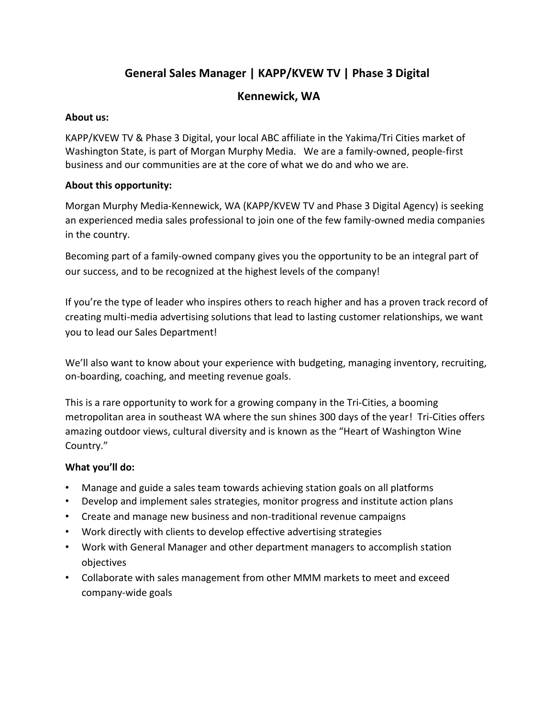# **General Sales Manager | KAPP/KVEW TV | Phase 3 Digital**

# **Kennewick, WA**

# **About us:**

KAPP/KVEW TV & Phase 3 Digital, your local ABC affiliate in the Yakima/Tri Cities market of Washington State, is part of Morgan Murphy Media. We are a family-owned, people-first business and our communities are at the core of what we do and who we are.

# **About this opportunity:**

Morgan Murphy Media-Kennewick, WA (KAPP/KVEW TV and Phase 3 Digital Agency) is seeking an experienced media sales professional to join one of the few family-owned media companies in the country.

Becoming part of a family-owned company gives you the opportunity to be an integral part of our success, and to be recognized at the highest levels of the company!

If you're the type of leader who inspires others to reach higher and has a proven track record of creating multi-media advertising solutions that lead to lasting customer relationships, we want you to lead our Sales Department!

We'll also want to know about your experience with budgeting, managing inventory, recruiting, on-boarding, coaching, and meeting revenue goals.

This is a rare opportunity to work for a growing company in the Tri-Cities, a booming metropolitan area in southeast WA where the sun shines 300 days of the year! Tri-Cities offers amazing outdoor views, cultural diversity and is known as the "Heart of Washington Wine Country."

#### **What you'll do:**

- Manage and guide a sales team towards achieving station goals on all platforms
- Develop and implement sales strategies, monitor progress and institute action plans
- Create and manage new business and non-traditional revenue campaigns
- Work directly with clients to develop effective advertising strategies
- Work with General Manager and other department managers to accomplish station objectives
- Collaborate with sales management from other MMM markets to meet and exceed company-wide goals